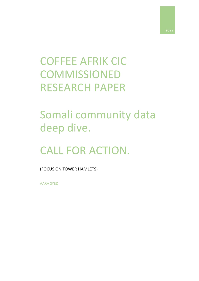

# COFFEE AFRIK CIC **COMMISSIONED** RESEARCH PAPER

# Somali community data deep dive.

# CALL FOR ACTION.

(FOCUS ON TOWER HAMLETS)

AARA SYED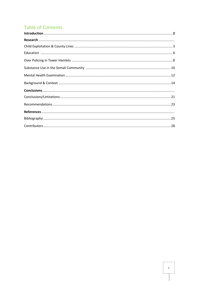# **Table of Contents**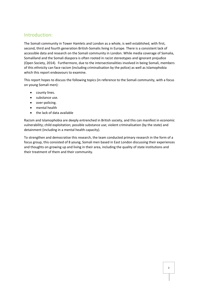# Introduction:

The Somali community in Tower Hamlets and London as a whole, is well established, with first, second, third and fourth generation British-Somalis living in Europe. There is a consistent lack of accessible data and research on the Somali community in London. While media coverage of Somalia, Somaliland and the Somali diaspora is often rooted in racist stereotypes and ignorant prejudice (Open Society, 2014). Furthermore, due to the intersectionalities involved in being Somali, members of this ethnicity can face racism (including criminalisation by the police) as well as Islamophobia which this report endeavours to examine.

This report hopes to discuss the following topics (in reference to the Somali community, with a focus on young Somali men):

- county lines.
- substance use.
- over-policing.
- mental health
- the lack of data available

Racism and Islamophobia are deeply entrenched in British society, and this can manifest in economic vulnerability; child exploitation; possible substance use; violent criminalisation (by the state) and detainment (including in a mental health capacity).

To strengthen and democratise this research, the team conducted primary research in the form of a focus group, this consisted of 8 young, Somali men based in East London discussing their experiences and thoughts on growing up and living in their area, including the quality of state institutions and their treatment of them and their community.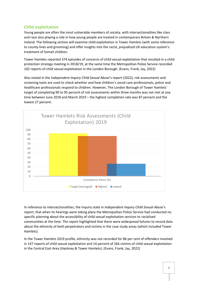### **Child exploitation**

Young people are often the most vulnerable members of society, with intersectionalities like class and race also playing a role in how young people are treated in contemporary Britain & Northern Ireland. The following section will examine child exploitation in Tower Hamlets (with some reference to county lines and grooming) and offer insights into the racist, prejudiced UK education system's treatment of Somali children.

Tower Hamlets reported 374 episodes of concerns of child sexual exploitation that resulted in a child protection strategy meeting in 2018/19, at the same time the Metropolitan Police Service recorded 102 reports of child sexual exploitation in the London Borough. (Evans, Frank, Jay, 2022)

Also stated in the *Independent Inquiry Child Sexual Abuse*'s report (2022), risk assessments and screening tools are used to check whether and how children's social care professionals, police and healthcare professionals respond to children. However, The London Borough of Tower Hamlets' target of completing 90 to 95 percent of risk assessments within three months was not met at any time between June 2018 and March 2019 – the highest completion rate was 87 percent and the lowest 27 percent.



In reference to intersectionalities, the Inquiry state in *Independent Inquiry Child Sexual Abuse*'s report, that when its hearings were taking place the Metropolitan Police Service had conducted no specific planning about the accessibility of child sexual exploitation services to racialised communities at the time. The report highlighted that there were widespread failures to record data about the ethnicity of both perpetrators and victims in the case study areas (which included Tower Hamlets).

In the Tower Hamlets 2019 profile, ethnicity was not recorded for 86 per cent of offenders involved in 147 reports of child sexual exploitation and 14 percent of 166 victims of child sexual exploitation in the Central East Area (Hackney & Tower Hamlets). (Evans, Frank, Jay, 2022)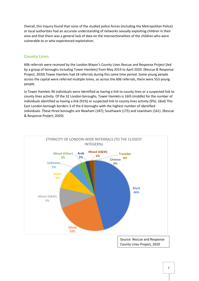Overall, this Inquiry found that none of the studied police forces (including the Metropolitan Police) or local authorities had an accurate understanding of networks sexually exploiting children in their area and that there was a general lack of data on the intersectionalities of the children who were vulnerable to or who experienced exploitation.

### **County Lines**

606 referrals were received by the London Mayor's County Lines Rescue and Response Project (led by a group of boroughs including Tower Hamlets) from May 2019 to April 2020. (Rescue & Response Project, 2020) Tower Hamlets had 18 referrals during this same time period. Some young people across the capital were referred multiple times, so across the 606 referrals, there were 553 young people.

In Tower Hamlets 90 individuals were identified as having a link to county lines or a suspected link to county lines activity. Of the 32 London boroughs, Tower Hamlets is 16th (middle) for the number of individuals identified as having a link (91%) or suspected link to county lines activity (9%). (ibid) This East London borough borders 3 of the 6 boroughs with the highest number of identified individuals. These three boroughs are Newham (187); Southwark (175) and Lewisham (161). (Rescue & Response Project, 2020)



County Lines Project, 2020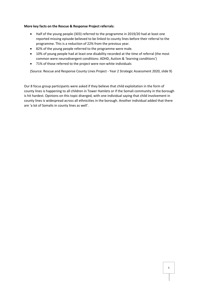#### **More key facts on the Rescue & Response Project referrals:**

- Half of the young people (303) referred to the programme in 2019/20 had at least one reported missing episode believed to be linked to county lines before their referral to the programme. This is a reduction of 22% from the previous year.
- 82% of the young people referred to the programme were male.
- 10% of young people had at least one disability recorded at the time of referral (the most common were neurodivergent conditions: ADHD, Autism & 'learning conditions')
- 71% of those referred to the project were non-white individuals

(Source: Rescue and Response County Lines Project - Year 2 Strategic Assessment 2020, slide 9)

Our 8 focus group participants were asked if they believe that child exploitation in the form of county lines is happening to all children in Tower Hamlets or if the Somali community in the borough is hit hardest. Opinions on this topic diverged, with one individual saying that child involvement in county lines is widespread across all ethnicities in the borough. Another individual added that there are 'a lot of Somalis in county lines as well'.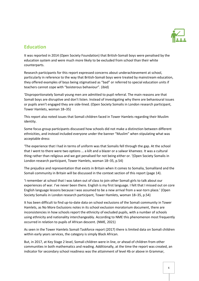

# **Education**

It was reported in 2014 (Open Society Foundation) that British-Somali boys were penalised by the education system and were much more likely to be excluded from school than their white counterparts.

Research participants for this report expressed concerns about underachievement at school, particularly in reference to the way that British-Somali boys were treated by mainstream education, they offered examples of boys being stigmatised as "bad" or referred to special education units if teachers cannot cope with "boisterous behaviour". (ibid)

'Disproportionately Somali young men are admitted to pupil referral. The main reasons are that Somali boys are disruptive and don't listen. Instead of investigating why there are behavioural issues or pupils aren't engaged they are side-lined. (Open Society Somalis in London research participant, Tower Hamlets, woman 18–35)

This report also noted issues that Somali children faced in Tower Hamlets regarding their Muslim identity.

Some focus group participants discussed how schools did not make a distinction between different ethnicities, and instead included everyone under the banner "Muslim" when stipulating what was acceptable dress:

'The experience that I had in terms of uniform was that Somalis fell through the gap. At the school that I went to there were two options … a kilt and a blazer or a salwar khameez. It was a cultural thing rather than religious and we got penalised for not being either or. '(Open Society Somalis in London research participant, Tower Hamlets, woman 18–35, p.54)

The prejudice and representation that exists in Britain when it comes to Somalia, Somaliland and the Somali community in Britain will be discussed in the context section of this report (page 14).

'I remember at school that I was taken out of class to join other Somali girls to talk about our experiences of war. I've never been there. English is my first language. I felt that I missed out on core English language lessons because I was assumed to be a new arrival from a war-torn place.' (Open Society Somalis in London research participant, Tower Hamlets, woman 18–35, p.54)

It has been difficult to find up-to-date data on school exclusions of the Somali community in Tower Hamlets, as No More Exclusions notes in its school exclusion moratorium document, there are inconsistencies in how schools report the ethnicity of excluded pupils, with a number of schools using ethnicity and nationality interchangeably. According to NME this phenomenon most frequently occurred in relation to pupils of African descent. (NME, 2021)

As seen in the Tower Hamlets Somali Taskforce report (2017) there is limited data on Somali children within early years services, the category is simply Black African.

But, in 2017, at Key Stage 2 level, Somali children were in line, or ahead of children from other communities in both mathematics and reading. Additionally, at the time the report was created, an indicator for secondary school readiness was the attainment of level 4b or above in Grammar,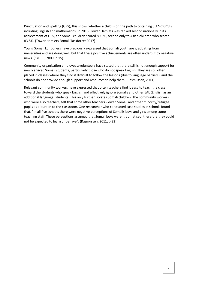Punctuation and Spelling (GPS); this shows whether a child is on the path to obtaining 5 A\*-C GCSEs including English and mathematics. In 2015, Tower Hamlets was ranked second nationally in its achievement of GPS, and Somali children scored 80.5%, second only to Asian children who scored 83.8%. (Tower Hamlets Somali Taskforce: 2017)

Young Somali Londoners have previously expressed that Somali youth are graduating from universities and are doing well, but that these positive achievements are often undercut by negative news. (SYDRC, 2009, p.15)

Community organisation employees/volunteers have stated that there still is not enough support for newly arrived Somali students, particularly those who do not speak English. They are still often placed in classes where they find it difficult to follow the lessons (due to language barriers), and the schools do not provide enough support and resources to help them. (Rasmussen, 2011]

Relevant community workers have expressed that often teachers find it easy to teach the class toward the students who speak English and effectively ignore Somalis and other EAL (English as an additional language) students. This only further isolates Somali children. The community workers, who were also teachers, felt that some other teachers viewed Somali and other minority/refugee pupils as a burden to the classroom. One researcher who conducted case studies in schools found that, "In all five schools there were negative perceptions of Somalis boys and girls among some teaching staff. These perceptions assumed that Somali boys were 'traumatised' therefore they could not be expected to learn or behave". (Rasmussen, 2011, p.23)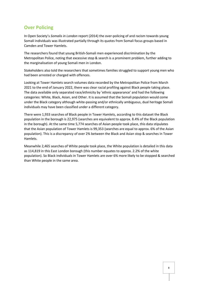# **Over Policing**

In Open Society's *Somalis in London* report (2014) the over-policing of and racism towards young Somali individuals was illustrated partially through its quotes from Somali focus groups based in Camden and Tower Hamlets.

The researchers found that young British-Somali men experienced discrimination by the Metropolitan Police, noting that excessive stop & search is a prominent problem, further adding to the marginalisation of young Somali men in London.

Stakeholders also told the researchers that sometimes families struggled to support young men who had been arrested or charged with offences.

Looking at Tower Hamlets search volumes data recorded by the Metropolitan Police from March 2021 to the end of January 2022, there was clear racial profiling against Black people taking place. The data available only separated race/ethnicity by 'ethnic appearance' and had the following categories: White, Black, Asian, and Other. It is assumed that the Somali population would come under the Black category although white-passing and/or ethnically ambiguous, dual heritage Somali individuals may have been classified under a different category.

There were 1,933 searches of Black people in Tower Hamlets, according to this dataset the Black population in the borough is 22,975 (searches are equivalent to approx. 8.4% of the Black population in the borough). At the same time 5,774 searches of Asian people took place, this data stipulates that the Asian population of Tower Hamlets is 99,353 (searches are equal to approx. 6% of the Asian population). This is a discrepancy of over 2% between the Black and Asian stop & searches in Tower Hamlets.

Meanwhile 2,465 searches of White people took place, the White population is detailed in this data as 114,819 in this East London borough (this number equates to approx. 2.2% of the white population). So Black individuals in Tower Hamlets are over 6% more likely to be stopped & searched than White people in the same area.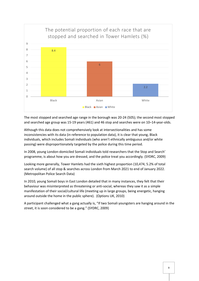

The most stopped and searched age range in the borough was 20-24 (505); the second most stopped and searched age group was 15-19 years (461) and 46 stop and searches were on 10–14-year-olds.

Although this data does not comprehensively look at intersectionalities and has some inconsistencies with its data (in reference to population data), it is clear that young, Black individuals, which includes Somali individuals (who aren't ethnically ambiguous and/or white passing) were disproportionately targeted by the police during this time period.

In 2008, young London-domiciled Somali individuals told researchers that the Stop and Search' programme, is about how you are dressed, and the police treat you accordingly. (SYDRC, 2009)

Looking more generally, Tower Hamlets had the sixth highest proportion (10,474, 5.2% of total search volume) of all stop & searches across London from March 2021 to end of January 2022. (Metropolitan Police Search Data)

In 2010, young Somali boys in East London detailed that in many instances, they felt that their behaviour was misinterpreted as threatening or anti-social, whereas they saw it as a simple manifestation of their social/cultural life (meeting up in large groups, being energetic, hanging around outside the home in the public sphere). (Options UK, 2010)

A participant challenged what a gang actually is, "If two Somali youngsters are hanging around in the street, it is soon considered to be a gang." (SYDRC, 2009)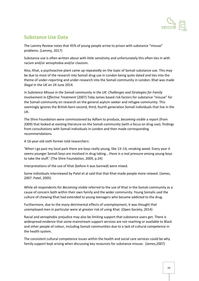

## **Substance Use Data**

The Lammy Review notes that 45% of young people arrive to prison with substance "misuse" problems. (Lammy, 2017)

Substance use is often written about with little sensitivity and unfortunately this often ties in with racism and/or xenophobia and/or classism.

Also, Khat, a psychoactive plant came up repeatedly on the topic of Somali substance use. This may be due to most of the research into Somali drug use in London being quite dated and ties into the theme of under-reporting and under-research into the Somali community in London. Khat was made illegal in the UK on 24 June 2014.

In *Substance Misuse in the Somali community in the UK: Challenges and Strategies for Family Involvement in Effective Treatment* (2007) Toby James based risk factors for substance "misuse" for the Somali community on research on the general asylum seeker and refugee community. This seemingly ignores the British-born second, third, fourth generation Somali individuals that live in the UK.

The Shire Foundation were commissioned by Adfam to produce, *becoming visible* a report (from 2009) that looked at existing literature on the Somali community (with a focus on drug use); findings from consultations with Somali individuals in London and then made corresponding recommendations.

A 16-year-old sixth former told researchers:

'When I go past my local park there are boys really young, like 13–14, smoking weed. Every year it seems younger Somali boys are involved in drug taking… there is a real pressure among young boys to take the stuff.' (The Shire Foundation, 2009, p.24)

Interpretations of the use of Khat (before it was banned) were mixed.

Some individuals interviewed by Patel et al said that that Khat made people more relaxed. (James, 2007: Patel, 2005)

While all respondents for *Becoming visible* referred to the use of Khat in the Somali community as a cause of concern both within their own family and the wider community. Young Somalis said the culture of chewing Khat had extended to young teenagers who became addicted to the drug.

Furthermore, due to the many detrimental effects of unemployment, it was thought that unemployed men in particular were at greater risk of using Khat. (Open Society, 2014)

Racial and xenophobic prejudice may also be limiting support that substance users get. There is widespread evidence that some mainstream support services are not reaching or available to Black and other people of colour, including Somali communities due to a lack of cultural competence in the health system.

The consistent cultural competence issues within the health and social care services could be why family support kept arising when discussing key resources for substance misuse. (James,2007)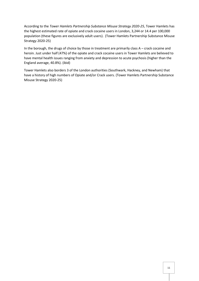According to the *Tower Hamlets Partnership Substance Misuse Strategy 2020-25*, Tower Hamlets has the highest estimated rate of opiate and crack cocaine users in London, 3,244 or 14.4 per 100,000 population (these figures are exclusively adult users). (Tower Hamlets Partnership Substance Misuse Strategy 2020-25)

In the borough, the drugs of choice by those in treatment are primarily class A – crack cocaine and heroin. Just under half (47%) of the opiate and crack cocaine users in Tower Hamlets are believed to have mental health issues ranging from anxiety and depression to acute psychosis (higher than the England average, 40.8%). (ibid)

Tower Hamlets also borders 3 of the London authorities (Southwark, Hackney, and Newham) that have a history of high numbers of Opiate and/or Crack users. (Tower Hamlets Partnership Substance Misuse Strategy 2020-25)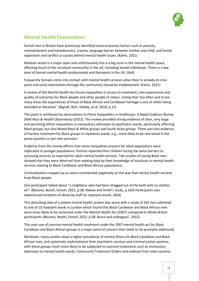

# **Mental Health Examination**

Somali men in Britain have previously identified socio-economic factors such as poverty, unemployment and homelessness, trauma, language barrier between mother and child, and family separation and conflict as causes behind mental health issues. (Kahin, 2021)

Medical racism is a major topic and unfortunately this is a big issue in the mental health space, affecting much of the racialised community in the UK, including Somali individuals. There is a low level of Somali mental health professionals and therapists in the UK. (ibid)

Frequently Somalis come into contact with mental health services when they're already at crisis point and early intervention through the community should be implemented. (Kahin, 2021)

A review of the Mental Health Act found inequalities in access to treatment, care experiences and quality of outcomes for Black people and other people of colour, noting that 'too often and in too many areas the experiences of those of Black African and Caribbean heritage is one of either being excluded or detained.' (Bignall, Butt, Helsby, et al. 2019, p.12)

This point is reinforced by observations in *Ethnic Inequalities in Healthcare: A Rapid Evidence Review (NHS Race & Health Observatory* (2022). The review provided strong evidence of clear, very large and persisting ethnic inequalities in compulsory admission to psychiatric wards, particularly affecting Black groups, but also Mixed Black & White groups and South Asian groups. There was also evidence of harsher treatment for Black groups in inpatients wards, e.g., more likely to be restrained in the prone position or put into seclusion.

Evidence from the review affirms that some inequalities present for adult populations were replicated in younger populations. Parents reported their children facing the same barriers to accessing services as reported for adult mental health services. Two studies of young Black men showed that they were deterred from seeking help by their knowledge of injustices in mental health services relating to Black Caribbean and Black African populations.

Criminalisation cropped up as carers commented negatively on the way that mental health services treat Black people.

One participant talked about "a neighbour who had been dragged out of the bath with no clothes on". (Bécares, Booth, Esmail, 2022, p.38: Rabiee and Smith's study, p.169) Participants also experienced incidents of abuse by staff on inpatient wards. (ibid)

This disturbing idea of a violent mental health system also arose with a study of 165 men admitted to one of 10 inpatient wards in London which found that Black Caribbean and Black African men were more likely to be sectioned under the Mental Health Act (2007) compared to White British participants (Bécares, Booth, Esmail, 2022, p.38: Bruce and colleagues', 2012)

This over-use of coercive mental health treatment under the 2007 mental health act for Black Caribbean and Black African groups is a major point of concern that needs to be promptly addressed.

Moreover, many studies show a higher prevalence of mental illness for Black Caribbean and Black African men, and systematic maltreatment from psychiatric services and criminal justice systems, with these groups much more likely to be subjected to coercive treatments such as involuntary admission to mental health wards, Community Treatment Orders and violence from state systems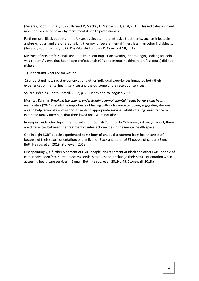(Bécares, Booth, Esmail, 2022 : Barnett P, Mackay E, Matthews H, et al, 2019) This indicates a violent inhumane abuse of power by racist mental health professionals.

Furthermore, Black patients in the UK are subject to more intrusive treatments, such as injectable anti-psychotics, and are offered talking therapy for severe mental illness less than other individuals. (Bécares, Booth, Esmail, 2022: Das-Munshi J, Bhugra D, Crawford MJ, 2018)

Mistrust of NHS professionals and its subsequent impact on avoiding or prolonging looking for help was patients' views that healthcare professionals (GPs and mental healthcare professionals) did not either:

1) understand what racism was or

2) understand how racist experiences and other individual experiences impacted both their experiences of mental health services and the outcome of the receipt of services.

Source: Bécares, Booth, Esmail, 2022, p.33: Linney and colleagues, 2020

Mushtag Kahin in *Breaking the chains: understanding Somali mental health barriers and health inequalities* (2021) details the importance of having culturally competent care, suggesting she was able to help, advocate and signpost clients to appropriate services whilst offering reassurance to extended family members that their loved ones were not alone.

In keeping with other topics mentioned in this Somali Community Outcomes/Pathways report, there are differences between the treatment of intersectionalities in the mental health space.

One in eight LGBT people experienced some form of unequal treatment from healthcare staff because of their sexual orientation; one in five for Black and other LGBT people of colour. (Bignall, Butt, Helsby, et al. 2019: Stonewall, 2018)

Disappointingly, a further 5 percent of LGBT people; and 9 percent of Black and other LGBT people of colour have been 'pressured to access services to question or change their sexual orientation when accessing healthcare services'. (Bignall, Butt, Helsby, et al. 2019 p.43: Stonewall, 2018,)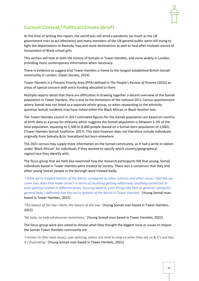

# **Current Context/ Political Climate (brief)**

At the time of writing this report, the world was still amid a pandemic (as much as the UK government tries to act otherwise) and many members of the UK general public were still trying to fight the deportations to Rwanda, Iraq and more destinations as well as heal after multiple stories of harassment of Black school girls.

This section will look at both the history of Somalis in Tower Hamlets, and more widely in London, providing more contemporary information when necessary.

There is evidence to suggest that Tower Hamlets is home to the longest established British Somali community in London. (Open Society, 2014)

Tower Hamlets is a Prevent Priority Area (PPA) defined in *The People's Review of Prevent* (2022) as areas of special concern with extra funding allocated to them.

Multiple reports detail that there are difficulties in drawing together a decent overview of the Somali population in Tower Hamlets, this is due to the limitations of the national 2011 Census questionnaire where Somali was not listed as a separate ethnic group, so when responding to the ethnicity question Somali residents may have ticked either the Black African or Black Another box.

The Tower Hamlets council in 2017 estimated figures for the Somali population are based on country of birth data as a proxy for ethnicity which suggests the Somali population is between 2-3% of the total population, equating to 5,500 to 8,000 people (based on a Somali born population of 2,600). (Tower Hamlets Somali Taskforce: 2017). This data however does not therefore include individuals originally from Somalia &/or Somaliland but born elsewhere.

The 2021 census may supply more information on the Somali community, as it had a write-in option under 'Black African' for individuals if they wanted to specify which country/geographical region/race they identify with.

The focus group that we held also examined how the research participants felt that young, Somali individuals based in Tower Hamlets were treated by society. There was a consensus that they and other young Somali people in the borough were treated badly.

*'I think we're treated bottom of the barrel, compared to other cultures and other races, I feel like we come last, does that make sense? In terms of anything getting addressed, anything sorted out or even getting treated in different areas, housing aspects, even things like that or general, asking for general help, I definitely feel like we're bottom of the barrel in Tower Hamlets.'* (Young Somali man based in Tower Hamlets, 2022)

*'The lowest of the low I think, the lowest of the low.'* (Young Somali man based in Tower Hamlets, 2022)

'*No help, no help whatsoever sometimes.*' (Young Somali man based in Tower Hamlets, 2022)

The focus group were also asked to choose what they thought the biggest issue or issues to impact the Somali Tower Hamlets community are.

*'I reckon its [the main issue], over-policing, police just tend to stop us when they see us & it's just like, it's frustrating.'* (Young Somali man based in Tower Hamlets, 2022)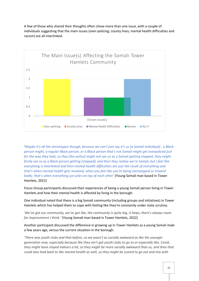

A few of those who shared their thoughts often chose more than one issue, with a couple of individuals suggesting that the main issues (over-policing; county lines; mental health difficulties and racism) are all interlinked.

'*Maybe it's all the stereotypes though, because we can't just say it's us [a Somali individual] , a Black person might, a regular Black person, or a Black person that's not Somali might get overpoliced just for the way they look, so they [the police] might not see us as a Somali getting stopped, they might firstly see us as a Black person getting [stopped], and then they realise we're Somali, but I feel like everything is interlinked and then mental health difficulties are just the result of everything and that's when mental health gets involved, when you feel like you're being stereotyped or treated badly, that's when everything just piles on top of each other'* (Young Somali man based in Tower Hamlets, 2022)

Focus Group participants discussed their experiences of being a young Somali person living in Tower Hamlets and how their mental health is affected by living in the borough.

One individual noted that there is a big Somali community (including groups and initiatives) in Tower Hamlets which has helped them to cope with feeling like they're constantly under state scrutiny.

*'We've got our community, we've got like, the community is quite big, it helps, there's always room for improvement I think.'* (Young Somali man based in Tower Hamlets, 2022)

Another participant discussed the difference in growing up in Tower Hamlets as a young Somali male a few years ago, versus the current situation in the borough.

*'There was youth clubs and that before, so we wasn't as socially awkward as like the younger generation now, especially because like they ain't got youth clubs to go to or especially like, Covid, they might have stayed indoors a lot, so they might be more socially awkward than us, and then that could also lead back to like mental health as well, so they might be scared to go out and mix with*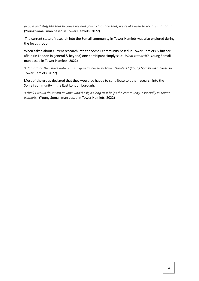*people and stuff like that because we had youth clubs and that, we're like used to social situations.'* (Young Somali man based in Tower Hamlets, 2022)

The current state of research into the Somali community in Tower Hamlets was also explored during the focus group.

When asked about current research into the Somali community based in Tower Hamlets & further afield (in London in general & beyond) one participant simply said: *'What research?* (Young Somali man based in Tower Hamlets, 2022)

*'I don't think they have data on us in general based in Tower Hamlets.'* (Young Somali man based in Tower Hamlets, 2022)

Most of the group declared that they would be happy to contribute to other research into the Somali community in the East London borough.

*'I think I would do it with anyone who'd ask, as long as it helps the community, especially in Tower Hamlets.'* (Young Somali man based in Tower Hamlets, 2022)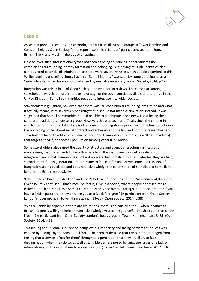

# **Labels**

As seen in previous sections and according to data from discussion groups in Tower Hamlets and Camden, held by Open Society for its report, 'Somalis in London' participants see their Somali, British, Black, and Muslim labels as overlapping.

On one level, such intersectionality was not seen as being an issue as it encapsulates the complexities surrounding identity formation and belonging. But, having multiple identities also compounded potential discrimination, as there were several ways in which people experienced this. While, labelling oneself as simply having a "Somali identity" was seen by some participants as a "safe" identity, since this was not challenged by mainstream society. (Open Society, 2014, p.17)

Integration was raised in all of Open Society's stakeholder interviews. The consensus among stakeholders was that in order to take advantage of the opportunities available and to thrive in the United Kingdom, Somali communities needed to integrate into wider society.

Stakeholders highlighted, however, that there was still confusion surrounding integration and what it actually means, with several emphasising that it should not mean assimilation. Instead, it was suggested that Somali communities should be able to participate in society without losing their culture or traditional values as a group. However, this was seen as difficult, since the context in which integration should take place is often one of non-negotiable principles of the host population, the upholding of the liberal social contract and adherence to the law and both the researchers and stakeholders failed to address the issue of racist and Islamophobic systems (as well as individuals) that target and vilify the Somali population (among others) in London.

Some stakeholders also raised the duality of structure and agency characterising integration, emphasising that there needs to be willingness from the mainstream as well as a disposition to integrate from Somali communities. So far it appears that Somali individuals, whether they are first, second, third, fourth generation, are not made to feel comfortable or welcome and this idea of integration seems outdated and does not acknowledge the colonisation of Somalia and Somaliland by Italy and Britain respectively.

'I don't believe I'm a British citizen and I don't believe I'm a Somali citizen. I'm a citizen of the world, I'm absolutely confused—that's me! The fact is, I live in a society where people don't see me as either a British citizen or as a Somali citizen, they only see me as a foreigner. It doesn't matter if you have a British passport … they only see you as a Black foreigner.' (A participant from Open Society London's focus group in Tower Hamlets, man 18–35) (Open Society, 2014, p.38)

'We are British by papers but there are limitations, there is no participation … when it comes to British, no one is willing to help or even acknowledge you calling yourself a British citizen, that's how I feel.' ( A participant from Open Society London's focus group in Tower Hamlets, man 18–35) (Open Society, 2014, p.38)

This feeling about Somalis in London being left out of society and facing barriers to services was echoed by findings by the Somali Taskforce. Their report detailed that this sentiment ranged from feeling that a service is 'not for them' through to a perception that they are likely to face discrimination when they do so, as well as tangible barriers posed by language issues or a lack of information about how or where to access support. (Tower Hamlets Somali Taskforce, 2017, p.10)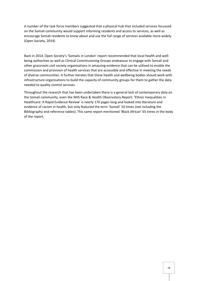A number of the task force members suggested that a physical hub that included services focussed on the Somali community would support informing residents and access to services, as well as encourage Somali residents to know about and use the full range of services available more widely. (Open Society, 2014)

Back in 2014, Open Society's 'Somalis in London' report recommended that local health and wellbeing authorities as well as Clinical Commissioning Groups endeavour to engage with Somali and other grassroots civil society organisations in amassing evidence that can be utilised to enable the commission and provision of health services that are accessible and effective in meeting the needs of diverse communities. It further iterates that these health and wellbeing bodies should work with infrastructure organisations to build the capacity of community groups for them to gather the data needed to quality control services.

Throughout the research that has been undertaken there is a general lack of contemporary data on the Somali community, even the NHS Race & Health Observatory Report: 'Ethnic Inequalities in Healthcare: A Rapid Evidence Review' is nearly 170 pages long and looked into literature and evidence of racism in health, but only featured the term 'Somali' 10 times (not including the Bibliography and reference tables). This same report mentioned 'Black African' 65 times in the body of the report.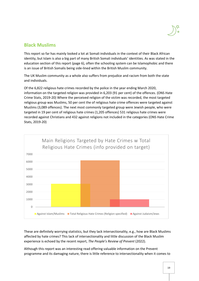

## **Black Muslims**

This report so far has mainly looked a lot at Somali individuals in the context of their Black African identity, but Islam is also a big part of many British Somali individuals' identities. As was stated in the education section of this report (page 6), often the schooling system can be Islamophobic and there is an issue of British Somalis being side-lined within the British Muslim community.

The UK Muslim community as a whole also suffers from prejudice and racism from both the state and individuals.

Of the 6,822 religious hate crimes recorded by the police in the year ending March 2020, information on the targeted religion was provided in 6,203 (91 per cent) of the offences. (ONS Hate Crime Stats, 2019-20) Where the perceived religion of the victim was recorded, the most targeted religious group was Muslims, 50 per cent the of religious hate crime offences were targeted against Muslims (3,089 offences). The next most commonly targeted group were Jewish people, who were targeted in 19 per cent of religious hate crimes (1,205 offences) 531 religious hate crimes were recorded against Christians and 432 against religions not included in the categories (ONS Hate Crime Stats, 2019-20)



These are definitely worrying statistics, but they lack intersectionality, e.g., how are Black Muslims affected by hate crimes? This lack of intersectionality and little discussion of the Black Muslim experience is echoed by the recent report, *The People's Review of Prevent* (2022).

Although this report was an interesting read offering valuable information on the Prevent programme and its damaging nature, there is little reference to intersectionality when it comes to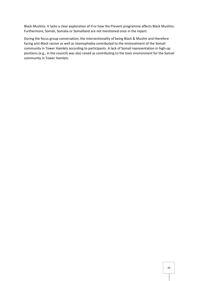Black Muslims. It lacks a clear exploration of if or how the Prevent programme affects Black Muslims. Furthermore, Somali, Somalia or Somaliland are not mentioned once in the report.

During the focus group conversation, the intersectionality of being Black & Muslim and therefore facing anti-Black racism as well as Islamophobia contributed to the mistreatment of the Somali community in Tower Hamlets according to participants. A lack of Somali representation in high-up positions (e.g., in the council) was also raised as contributing to the toxic environment for the Somali community in Tower Hamlets.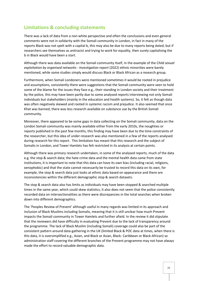## **Limitations & concluding statements**

There was a lack of data from a non-white perspective and often the conclusions and even general comments were not in solidarity with the Somali community in London, in fact in many of the reports Black was not spelt with a capital b, this may also be due to many reports being dated, but if researchers see themselves as antiracist and trying to work for equality, then surely capitalising the b in Black would have been a start.

Although there was data available on the Somali community itself, in the example of the *Child sexual exploitation by organised networks - Investigation report* (2022) ethnic minorities were barely mentioned, while some studies simply would discuss Black or Black African as a research group.

Furthermore, when Somali Londoners were mentioned sometimes it would be rooted in prejudice and assumptions, consistently there were suggestions that the Somali community were seen to hold some of the blame for the issues they face e.g., their standing in London society and their treatment by the police, this may have been partly due to some analysed reports interviewing not only Somali individuals but stakeholders (mainly in the education and health systems). So, it felt as though data was often negatively skewed and rooted in systemic racism and prejudice. It also seemed that once Khat was banned, there was less research available on substance use by the British Somali community.

Moreover, there appeared to be some gaps in data collecting on the Somali community, data on the London Somali community was mainly available either from the early 2010s, the noughties or reports published in the past few months, this finding may have been due to the time constraints of the researcher, but this idea of under-research was also mentioned in a few of the reports analysed during research for this report. This limitation has meant that this research and the subject of Somalis in London, and Tower Hamlets has felt restricted in its analysis at certain points.

Although there was primary research undertaken, in some of the analysed reports, much of the data e.g. the stop & search data; the hate crime data and the mental health data came from state institutions, it is important to note that this data can have its own bias (including racial, religions, xenophobic) and that the state cannot necessarily be trusted to record this data on its own, for example, the stop & search data just looks at ethnic data based on appearance and there are inconsistencies within the different demographic stop & search datasets.

The stop & search data also has limits as individuals may have been stopped & searched multiple times in the same year, which could skew statistics, it also does not seem that the police consistently recorded data on intersectionalities as there were discrepancies in the total searches when broken down into different demographics.

The 'Peoples Review of Prevent' although useful in many regards was limited in its approach and inclusion of Black Muslims including Somalis, meaning that it is still unclear how much Prevent impacts the Somali community in Tower Hamlets and further afield. In the review it did stipulate that the reviewers did have difficulty in evaluating Prevent due to the lack of transparency around the programme. The lack of Black Muslim (including Somali) coverage could also be part of the consistent pattern around data-gathering in the UK (limited Black & POC data at times, when there is this data, it is oversimplified e.g., Asian, and Black or Asian, Black- Caribbean or Black-African) so administration staff covering the different branches of the Prevent programme may not have always made the effort to record valuable demographic data.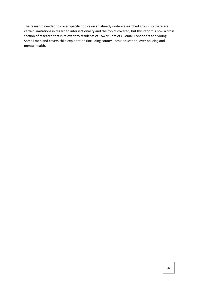The research needed to cover specific topics on an already under-researched group, so there are certain limitations in regard to intersectionality and the topics covered, but this report is now a cross section of research that is relevant to residents of Tower Hamlets, Somali Londoners and young Somali men and covers child exploitation (including county lines); education; over policing and mental health.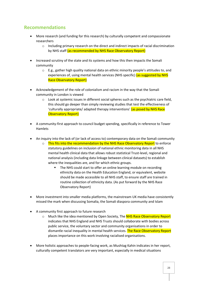# **Recommendations**

- More research (and funding for this research) by culturally competent and compassionate researchers
	- $\circ$  Including primary research on the direct and indirect impacts of racial discrimination by NHS staff (as recommended by NHS Race Observatory Report)
- Increased scrutiny of the state and its systems and how this then impacts the Somali community
	- o E.g., gather high quality national data on ethnic minority people's attitudes to, and experiences of, using mental health services (NHS specific) (as suggested by NHS Race Observatory Report)
- Acknowledgement of the role of colonialism and racism in the way that the Somali community in London is viewed
	- $\circ$  Look at systemic issues in different social spheres such as the psychiatric care field, this should go deeper than simply reviewing studies that test the effectiveness of 'culturally appropriate/ adapted therapy interventions' (as posed by NHS Race Observatory Report)
- A community-first approach to council budget spending, specifically in reference to Tower Hamlets
- An inquiry into the lack of (or lack of access to) contemporary data on the Somali community
	- o This fits into the recommendation by the NHS Race Observatory Report to enforce statutory guidelines on inclusion of national ethnic monitoring data in all NHS mental health clinical data that allows robust statistical Trust-level, regional and national analysis (including data linkage between clinical datasets) to establish where the inequalities are, and for which ethnic groups.
		- The NHS could start to offer an online learning module on recording ethnicity data on the Health Education England, or equivalent, website should be made accessible to all NHS staff, to ensure staff are trained in routine collection of ethnicity data. (As put forward by the NHS Race Observatory Report)
- More investment into smaller media platforms, the mainstream UK media have consistently missed the mark when discussing Somalia, the Somali diaspora community and Islam
- A community first approach to future research
	- o Much like the idea mentioned by Open Society, The NHS Race Observatory Report indicates that NHS England and NHS Trusts should collaborate with bodies across public service, the voluntary sector and community organisations in order to dismantle racial inequality in mental health services. The Race Observatory Report places importance on this work involving racialised organisations.
- More holistic approaches to people-facing work, as Mushtag Kahin indicates in her report, culturally competent translators are very important, especially in medical situations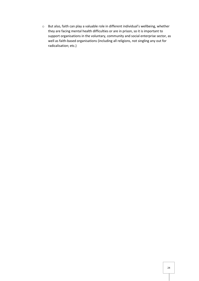o But also, faith can play a valuable role in different individual's wellbeing, whether they are facing mental health difficulties or are in prison, so it is important to support organisations in the voluntary, community and social enterprise sector, as well as faith-based organisations (including all religions, not singling any out for radicalisation; etc.)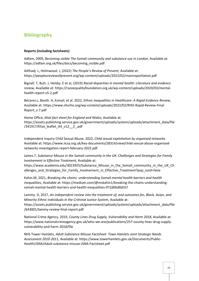# **Bibliography**

### **Reports (including factsheets)**

Adfam, 2009, *Becoming visible The Somali community and substance use in London*, Available at: https://adfam.org.uk/files/docs/becoming\_visible.pdf

Aitlhadj. L, Holmwood. J, (2022) *The People's Review of Prevent,* Available at: https://peoplesreviewofprevent.org/wp-content/uploads/2022/02/mainreportlatest.pdf

Bignall. T, Butt. J, Helsby. E et al, (2019) *Racial disparities in mental health: Literature and evidence review,* Available at: https://raceequalityfoundation.org.uk/wp-content/uploads/2020/03/mentalhealth-report-v5-2.pdf

Bécares.L, Booth. A, Esmail, et al. 2022, *Ethnic Inequalities in Healthcare*: *A Rapid Evidence Review*, Available at: https://www.nhsrho.org/wp-content/uploads/2022/02/RHO-Rapid-Review-Final-Report\_v.7.pdf

Home Office, *khat fact sheet for England and Wales,* Available at: https://assets.publishing.service.gov.uk/government/uploads/system/uploads/attachment\_data/file /341917/Khat\_leaflet\_A4\_v12\_\_2\_.pdf

Independent Inquiry Child Sexual Abuse, 2022, *Child sexual exploitation by organised networks*  Available at: https://www.iicsa.org.uk/key-documents/28314/view/child-sexual-abuse-organisednetworks-investigation-report-february-2022.pdf

James.T, *Substance Misuse in the Somali community in the UK: Challenges and Strategies for Family Involvement in Effective Treatment,* Available at:

https://www.academia.edu/3023925/Substance\_Misuse\_in\_the\_Somali\_community\_in\_the\_UK\_Ch allenges and Strategies for Family Involvement in Effective Treatment?pop sutd=false

Kahin.M, 2021, *Breaking the chains: understanding Somali mental health barriers and health inequalities,* Available at: https://medium.com/@mskahin1/breaking-the-chains-understandingsomali-mental-health-barriers-and-health-inequalities-972d0bd0d31f

Lammy. D, 2017, *An independent review into the treatment of, and outcomes for, Black, Asian, and Minority Ethnic individuals in the Criminal Justice System, Available at:* https://assets.publishing.service.gov.uk/government/uploads/system/uploads/attachment\_data/file /643001/lammy-review-final-report.pdf

National Crime Agency, 2019, *County Lines Drug Supply, Vulnerability and Harm 2018,* Available at: https://www.nationalcrimeagency.gov.uk/who-we-are/publications/257-county-lines-drug-supplyvulnerability-and-harm-2018/file

NHS Tower Hamlets, *Adult Substance Misuse Factsheet: Towe Hamlets Joint Strategic Needs Assessment 2010-2011,* Available at: https://www.towerhamlets.gov.uk/Documents/Public-Health/JSNA/Adult-substance-misuse-JSNA-Factsheet.pdf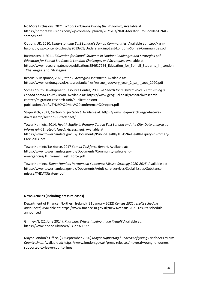No More Exclusions, 2021, *School Exclusions During the Pandemic,* Available at: https://nomoreexclusions.com/wp-content/uploads/2021/03/NME-Moratorium-Booklet-FINALspreads.pdf

Options UK, 2010, *Understanding East London's Somali Communities,* Available at http://karinha.org.uk/wp-content/uploads/2013/01/Understanding-East-Londons-Somali-Communities.pdf

Rasmussen, J, 2011, *Education for Somali Students in London: Challenges and Strategies* pdf *Education for Somali Students in London: Challenges and Strategies,* Available at: https://www.researchgate.net/publication/254617264\_Education\_for\_Somali\_Students\_in\_London \_Challenges\_and\_Strategies

Rescue & Response, 2020, *Year 2 Strategic Assessment*, Available at: https://www.london.gov.uk/sites/default/files/rescue\_recovery\_year\_2\_sa\_-\_sept\_2020.pdf

Somali Youth Development Resource Centre, 2009, *In Search for a United Voice: Establishing a London Somali Youth Forum,* Available at: https://www.geog.ucl.ac.uk/research/researchcentres/migration-research-unit/publications/mrupublications/pdfs/SYDRC%20May%20conference%20report.pdf

Stopwatch, 2021, *Section 60 factsheet,* Available at: https://www.stop-watch.org/what-wedo/research/section-60-factsheet/ '

Tower Hamlets, 2014, *Health Equity in Primary Care in East London and the City: Data analysis to inform Joint Strategic Needs Assessment*, Available at: https://www.towerhamlets.gov.uk/Documents/Public-Health/TH-JSNA-Health-Equity-in-Primary-Care-2014.pdf

Tower Hamlets Taskforce, 2017 *Somali Taskforce Report,* Available at: https://www.towerhamlets.gov.uk/Documents/Community-safety-andemergencies/TH\_Somali\_Task\_Force.pdf

Tower Hamlets, *Tower Hamlets Partnership Substance Misuse Strategy 2020-2025*, Available at: https://www.towerhamlets.gov.uk/Documents/Adult-care-services/Social-issues/Substancemisuse/THDATStrategy.pdf

#### **News Articles (including press releases)**

Department of Finance (Northern Ireland) (31 January 2022) *Census 2021 results schedule announced*, Available at: https://www.finance-ni.gov.uk/news/census-2021-results-scheduleannounced

Grimley.N, (21 June 2014), *Khat ban: Why is it being made illegal?* Available at: https://www.bbc.co.uk/news/uk-27921832

Mayor London's Office, (30 September 2020) *Mayor supporting hundreds of young Londoners to exit County Lines,* Available at: https://www.london.gov.uk/press-releases/mayoral/young-londonerssupported-to-leave-county-lines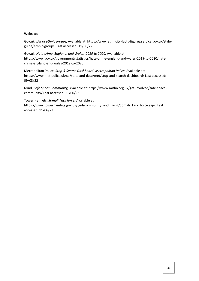#### **Websites**

Gov.uk, *List of ethnic groups,* Available at: https://www.ethnicity-facts-figures.service.gov.uk/styleguide/ethnic-groups) Last accessed: 11/06/22

Gov.uk, *Hate crime, England, and Wales, 2019 to 2020,* Available at: https://www.gov.uk/government/statistics/hate-crime-england-and-wales-2019-to-2020/hatecrime-england-and-wales-2019-to-2020

Metropolitan Police, *Stop & Search Dashboard: Metropolitan Police*, Available at: https://www.met.police.uk/sd/stats-and-data/met/stop-and-search-dashboard/ Last accessed: 09/03/22

Mind, *Safe Space Community,* Available at: https://www.mithn.org.uk/get-involved/safe-spacecommunity/ Last accessed: 11/06/22

Tower Hamlets, *Somali Task force,* Available at: https://www.towerhamlets.gov.uk/lgnl/community\_and\_living/Somali\_Task\_force.aspx Last accessed: 11/06/22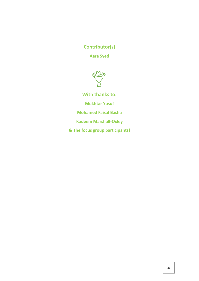# **Contributor(s)**

**Aara Syed**



**With thanks to:**

**Mukhtar Yusuf**

**Mohamed Faisal Basha**

**Kadeem Marshall-Oxley**

**& The focus group participants!**